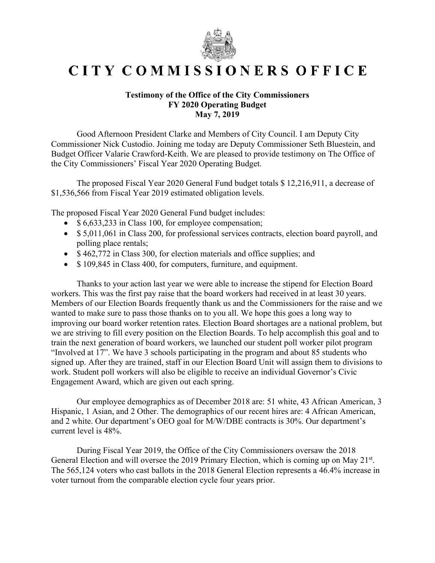

## CITY COMMISSIONERS OFFICE

## **Testimony of the Office of the City Commissioners FY 2020 Operating Budget May 7, 2019**

Good Afternoon President Clarke and Members of City Council. I am Deputy City Commissioner Nick Custodio. Joining me today are Deputy Commissioner Seth Bluestein, and Budget Officer Valarie Crawford-Keith. We are pleased to provide testimony on The Office of the City Commissioners' Fiscal Year 2020 Operating Budget.

The proposed Fiscal Year 2020 General Fund budget totals \$ 12,216,911, a decrease of \$1,536,566 from Fiscal Year 2019 estimated obligation levels.

The proposed Fiscal Year 2020 General Fund budget includes:

- \$ 6,633,233 in Class 100, for employee compensation;
- \$5,011,061 in Class 200, for professional services contracts, election board payroll, and polling place rentals;
- \$462,772 in Class 300, for election materials and office supplies; and
- \$109,845 in Class 400, for computers, furniture, and equipment.

Thanks to your action last year we were able to increase the stipend for Election Board workers. This was the first pay raise that the board workers had received in at least 30 years. Members of our Election Boards frequently thank us and the Commissioners for the raise and we wanted to make sure to pass those thanks on to you all. We hope this goes a long way to improving our board worker retention rates. Election Board shortages are a national problem, but we are striving to fill every position on the Election Boards. To help accomplish this goal and to train the next generation of board workers, we launched our student poll worker pilot program "Involved at 17". We have 3 schools participating in the program and about 85 students who signed up. After they are trained, staff in our Election Board Unit will assign them to divisions to work. Student poll workers will also be eligible to receive an individual Governor's Civic Engagement Award, which are given out each spring.

Our employee demographics as of December 2018 are: 51 white, 43 African American, 3 Hispanic, 1 Asian, and 2 Other. The demographics of our recent hires are: 4 African American, and 2 white. Our department's OEO goal for M/W/DBE contracts is 30%. Our department's current level is 48%.

During Fiscal Year 2019, the Office of the City Commissioners oversaw the 2018 General Election and will oversee the 2019 Primary Election, which is coming up on May 21<sup>st</sup>. The 565,124 voters who cast ballots in the 2018 General Election represents a 46.4% increase in voter turnout from the comparable election cycle four years prior.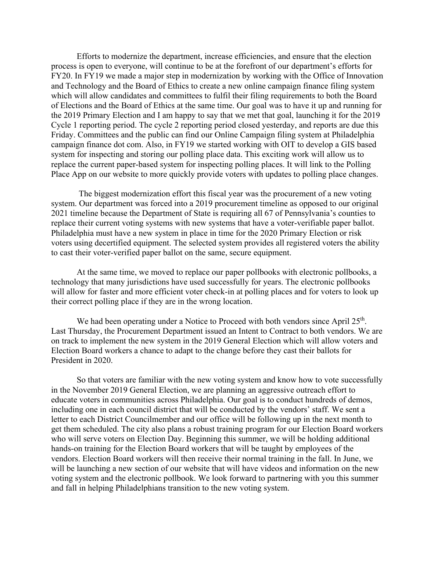Efforts to modernize the department, increase efficiencies, and ensure that the election process is open to everyone, will continue to be at the forefront of our department's efforts for FY20. In FY19 we made a major step in modernization by working with the Office of Innovation and Technology and the Board of Ethics to create a new online campaign finance filing system which will allow candidates and committees to fulfil their filing requirements to both the Board of Elections and the Board of Ethics at the same time. Our goal was to have it up and running for the 2019 Primary Election and I am happy to say that we met that goal, launching it for the 2019 Cycle 1 reporting period. The cycle 2 reporting period closed yesterday, and reports are due this Friday. Committees and the public can find our Online Campaign filing system at Philadelphia campaign finance dot com. Also, in FY19 we started working with OIT to develop a GIS based system for inspecting and storing our polling place data. This exciting work will allow us to replace the current paper-based system for inspecting polling places. It will link to the Polling Place App on our website to more quickly provide voters with updates to polling place changes.

 The biggest modernization effort this fiscal year was the procurement of a new voting system. Our department was forced into a 2019 procurement timeline as opposed to our original 2021 timeline because the Department of State is requiring all 67 of Pennsylvania's counties to replace their current voting systems with new systems that have a voter-verifiable paper ballot. Philadelphia must have a new system in place in time for the 2020 Primary Election or risk voters using decertified equipment. The selected system provides all registered voters the ability to cast their voter-verified paper ballot on the same, secure equipment.

At the same time, we moved to replace our paper pollbooks with electronic pollbooks, a technology that many jurisdictions have used successfully for years. The electronic pollbooks will allow for faster and more efficient voter check-in at polling places and for voters to look up their correct polling place if they are in the wrong location.

We had been operating under a Notice to Proceed with both vendors since April 25<sup>th</sup>. Last Thursday, the Procurement Department issued an Intent to Contract to both vendors. We are on track to implement the new system in the 2019 General Election which will allow voters and Election Board workers a chance to adapt to the change before they cast their ballots for President in 2020.

So that voters are familiar with the new voting system and know how to vote successfully in the November 2019 General Election, we are planning an aggressive outreach effort to educate voters in communities across Philadelphia. Our goal is to conduct hundreds of demos, including one in each council district that will be conducted by the vendors' staff. We sent a letter to each District Councilmember and our office will be following up in the next month to get them scheduled. The city also plans a robust training program for our Election Board workers who will serve voters on Election Day. Beginning this summer, we will be holding additional hands-on training for the Election Board workers that will be taught by employees of the vendors. Election Board workers will then receive their normal training in the fall. In June, we will be launching a new section of our website that will have videos and information on the new voting system and the electronic pollbook. We look forward to partnering with you this summer and fall in helping Philadelphians transition to the new voting system.